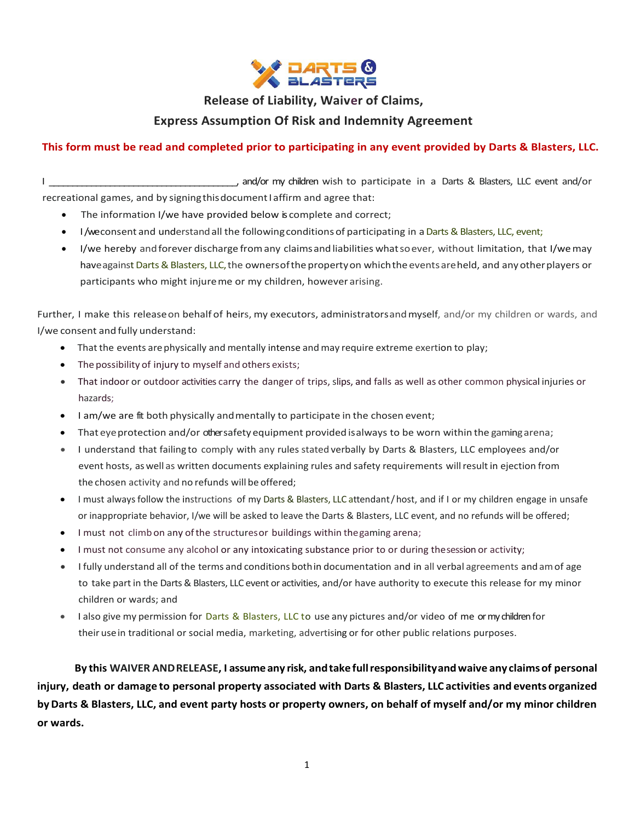

## **Release of Liability, Waiver of Claims,**

## **Express Assumption Of Risk and Indemnity Agreement**

## **This form must be read and completed prior to participating in any event provided by Darts & Blasters, LLC.**

I consider the unique of the matter of the matter of the matter of the matter of the matter of the matter of the matter of the matter of the matter of the matter of the matter of the matter of the matter of the matter of t recreational games, and by signing this document I affirm and agree that:

- The information I/we have provided below is complete and correct;
- I /we consent and understand all the following conditions of participating in a Darts & Blasters, LLC, event;
- I/we hereby andforever discharge fromany claimsandliabilities whatsoever, without limitation, that I/wemay have against Darts & Blasters, LLC, the owners of the property on which the events are held, and any other players or participants who might injureme or my children, however arising.

Further, I make this releaseon behalf of heirs, my executors, administratorsandmyself, and/or my children or wards, and I/we consent and fully understand:

- That the events arephysically and mentally intense and may require extreme exertion to play;
- The possibility of injury to myself and others exists;
- That indoor or outdoor activities carry the danger of trips, slips, and falls as well as other common physical injuries or hazards;
- I am/we are fit both physically andmentally to participate in the chosen event;
- That eye protection and/or othersafety equipment provided is always to be worn within the gaming arena;
- I understand that failing to comply with any rules stated verbally by Darts & Blasters, LLC employees and/or event hosts, aswell as written documents explaining rules and safety requirements willresult in ejection from the chosen activity and no refunds will be offered;
- I must always follow the instructions of my Darts & Blasters, LLC attendant/host, and if I or my children engage in unsafe or inappropriate behavior, I/we will be asked to leave the Darts & Blasters, LLC event, and no refunds will be offered;
- I must not climb on any of the structures or buildings within the gaming arena;
- I must not consume any alcohol or any intoxicating substance prior to or during thesession or activity;
- I fully understand all of the terms and conditions bothin documentation and in all verbal agreements and amof age to take partin the Darts & Blasters, LLC event or activities, and/or have authority to execute this release for my minor children or wards; and
- I also give my permission for Darts & Blasters, LLC to use any pictures and/or video of me or my children for their usein traditional or social media, marketing, advertising or for other public relations purposes.

**By this WAIVER ANDRELEASE, I assumeany risk, andtake fullresponsibilityandwaive any claimsof personal injury, death or damage to personal property associated with Darts & Blasters, LLC activities and events organized byDarts & Blasters, LLC, and event party hosts or property owners, on behalf of myself and/or my minor children or wards.**